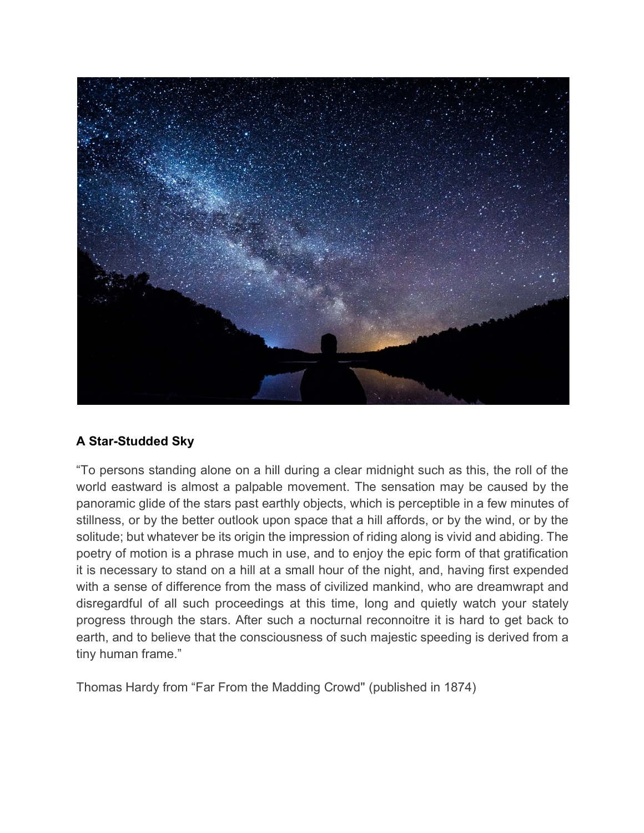

## **A Star-Studded Sky**

"To persons standing alone on a hill during a clear midnight such as this, the roll of the world eastward is almost a palpable movement. The sensation may be caused by the panoramic glide of the stars past earthly objects, which is perceptible in a few minutes of stillness, or by the better outlook upon space that a hill affords, or by the wind, or by the solitude; but whatever be its origin the impression of riding along is vivid and abiding. The poetry of motion is a phrase much in use, and to enjoy the epic form of that gratification it is necessary to stand on a hill at a small hour of the night, and, having first expended with a sense of difference from the mass of civilized mankind, who are dreamwrapt and disregardful of all such proceedings at this time, long and quietly watch your stately progress through the stars. After such a nocturnal reconnoitre it is hard to get back to earth, and to believe that the consciousness of such majestic speeding is derived from a tiny human frame."

Thomas Hardy from "Far From the Madding Crowd'' (published in 1874)